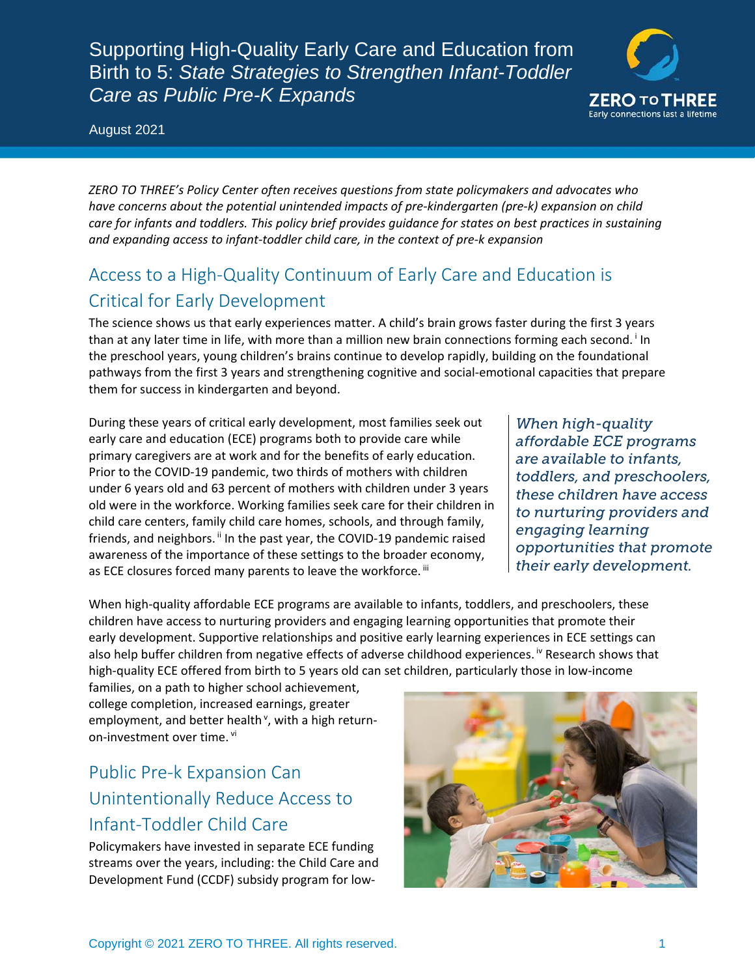Supporting High-Quality Early Care and Education from Birth to 5: *State Strategies to Strengthen Infant-Toddler Care as Public Pre-K Expands*



August 2021

*ZERO TO THREE's Policy Center often receives questions from state policymakers and advocates who have concerns about the potential unintended impacts of pre-kindergarten (pre-k) expansion on child care for infants and toddlers. This policy brief provides guidance for states on best practices in sustaining and expanding access to infant-toddler child care, in the context of pre-k expansion* 

## Access to a High-Quality Continuum of Early Care and Education is Critical for Early Development

The science shows us that early experiences matter. A child's brain grows faster during the first 3 years than at any later t[i](#page-8-0)me in life, with more than a million new brain connections forming each second.<sup>i</sup> In the preschool years, young children's brains continue to develop rapidly, building on the foundational pathways from the first 3 years and strengthening cognitive and social-emotional capacities that prepare them for success in kindergarten and beyond.

During these years of critical early development, most families seek out early care and education (ECE) programs both to provide care while primary caregivers are at work and for the benefits of early education. Prior to the COVID-19 pandemic, two thirds of mothers with children under 6 years old and 63 percent of mothers with children under 3 years old were in the workforce. Working families seek care for their children in child care centers, family child care homes, schools, and through family, friends, and neighbors.<sup>[ii](#page-8-1)</sup> In the past year, the COVID-19 pandemic raised awareness of the importance of these settings to the broader economy, as ECE closures forced many parents to leave the workforce. [iii](#page-8-2)

*When high-quality affordable ECE programs are available to infants, toddlers, and preschoolers, these children have access to nurturing providers and engaging learning opportunities that promote their early development.*

When high-quality affordable ECE programs are available to infants, toddlers, and preschoolers, these children have access to nurturing providers and engaging learning opportunities that promote their early development. Supportive relationships and positive early learning experiences in ECE settings can also help buffer children from negat[iv](#page-8-3)e effects of adverse childhood experiences. <sup>Iv</sup> Research shows that high-quality ECE offered from birth to 5 years old can set children, particularly those in low-income

families, on a path to higher school achievement, college completion, increased earnings, greater employment, and better health<sup>[v](#page-9-0)</sup>, with a high returnon-investment over time. [vi](#page-9-1)

# Public Pre-k Expansion Can Unintentionally Reduce Access to Infant-Toddler Child Care

Policymakers have invested in separate ECE funding streams over the years, including: the Child Care and Development Fund (CCDF) subsidy program for low-

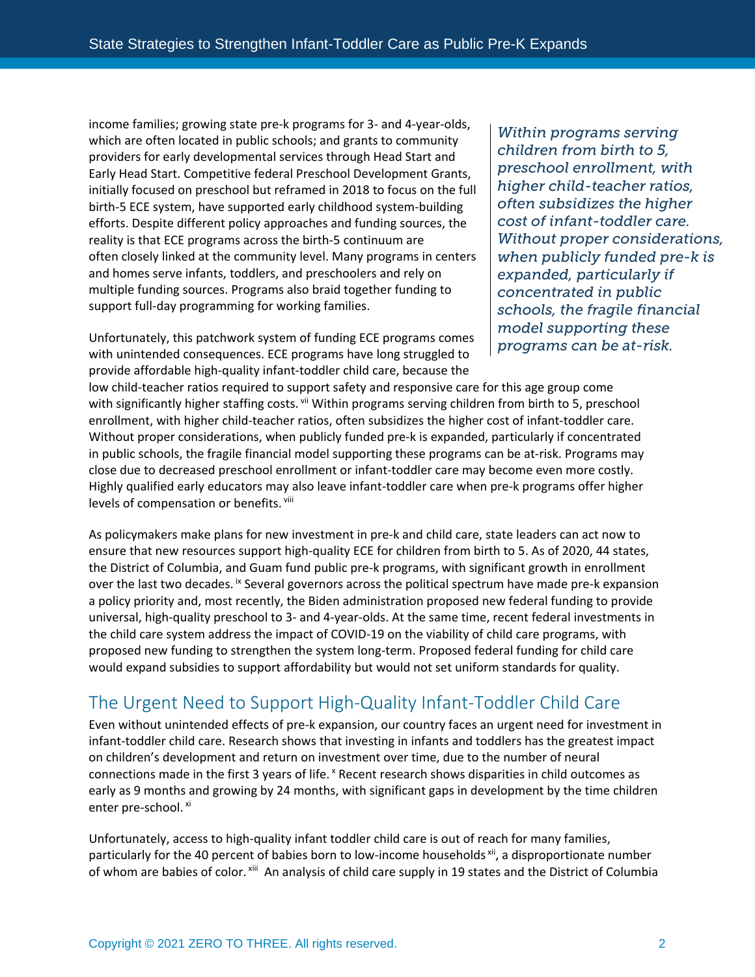income families; growing state pre-k programs for 3- and 4-year-olds, which are often located in public schools; and grants to community providers for early developmental services through Head Start and Early Head Start. Competitive federal Preschool Development Grants, initially focused on preschool but reframed in 2018 to focus on the full birth-5 ECE system, have supported early childhood system-building efforts. Despite different policy approaches and funding sources, the reality is that ECE programs across the birth-5 continuum are often closely linked at the community level. Many programs in centers and homes serve infants, toddlers, and preschoolers and rely on multiple funding sources. Programs also braid together funding to support full-day programming for working families.

Unfortunately, this patchwork system of funding ECE programs comes with unintended consequences. ECE programs have long struggled to provide affordable high-quality infant-toddler child care, because the

*Within programs serving children from birth to 5, preschool enrollment, with higher child-teacher ratios, often subsidizes the higher cost of infant-toddler care. Without proper considerations, when publicly funded pre-k is expanded, particularly if concentrated in public schools, the fragile financial model supporting these programs can be at-risk.*

low child-teacher ratios required to support safety and responsive care for this age group come with significantly higher staffing costs. Vii Within programs serving children from birth to 5, preschool enrollment, with higher child-teacher ratios, often subsidizes the higher cost of infant-toddler care. Without proper considerations, when publicly funded pre-k is expanded, particularly if concentrated in public schools, the fragile financial model supporting these programs can be at-risk. Programs may close due to decreased preschool enrollment or infant-toddler care may become even more costly. Highly qualified early educators may also leave infant-toddler care when pre-k programs offer higher levels of compensation or benefits. Viii

As policymakers make plans for new investment in pre-k and child care, state leaders can act now to ensure that new resources support high-quality ECE for children from birth to 5. As of 2020, 44 states, the District of Columbia, and Guam fund public pre-k programs, with significant growth in enrollment over the last two decades. [ix](#page-9-4) Several governors across the political spectrum have made pre-k expansion a policy priority and, most recently, the Biden administration proposed new federal funding to provide universal, high-quality preschool to 3- and 4-year-olds. At the same time, recent federal investments in the child care system address the impact of COVID-19 on the viability of child care programs, with proposed new funding to strengthen the system long-term. Proposed federal funding for child care would expand subsidies to support affordability but would not set uniform standards for quality.

## The Urgent Need to Support High-Quality Infant-Toddler Child Care

Even without unintended effects of pre-k expansion, our country faces an urgent need for investment in infant-toddler child care. Research shows that investing in infants and toddlers has the greatest impact on children's development and return on investment over time, due to the number of neural connections made in the first 3 years of life. *K* Recent research shows disparities in child outcomes as early as 9 months and growing by 24 months, with significant gaps in development by the time children enter pre-school. [xi](#page-9-6)

Unfortunately, access to high-quality infant toddler child care is out of reach for many families, particularly for the 40 percent of babies born to low-income households [xii](#page-9-7), a disproportionate number of whom are babies of color. [xiii](#page-9-8) An analysis of child care supply in 19 states and the District of Columbia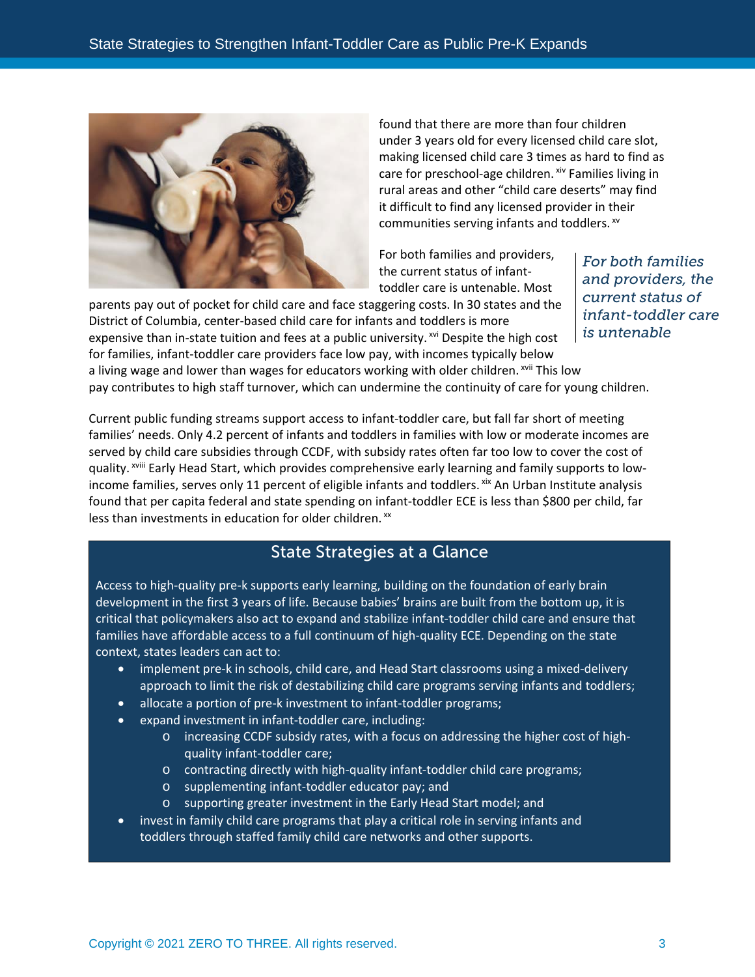

found that there are more than four children under 3 years old for every licensed child care slot, making licensed child care 3 times as hard to find as care for preschool-age children. Xiv Families living in rural areas and other "child care deserts" may find it difficult to find any licensed provider in their communities serving infants and toddlers. xv

For both families and providers, the current status of infanttoddler care is untenable. Most

parents pay out of pocket for child care and face staggering costs. In 30 states and the District of Columbia, center-based child care for infants and toddlers is more expensive than in-state tuition and fees at a public university.  $x^{i}$  Despite the high cost for families, infant-toddler care providers face low pay, with incomes typically below a living wage and lower than wages for educators working with older children. [xvii](#page-9-12) This low pay contributes to high staff turnover, which can undermine the continuity of care for young children.

*For both families and providers, the current status of infant-toddler care is untenable*

Current public funding streams support access to infant-toddler care, but fall far short of meeting families' needs. Only 4.2 percent of infants and toddlers in families with low or moderate incomes are served by [c](#page-9-13)hild care subsidies through CCDF, with subsidy rates often far too low to cover the cost of quality. <sup>xviii</sup> Early Head Start, which provides comprehensive early learning and family supports to lowincome families, serves only 11 percent of eligible infants and toddlers. Xix An Urban Institute analysis found that per capita federal and state spending on infant-toddler ECE is less than \$800 per child, far less than investments in education for older children.<sup>[xx](#page-9-15)</sup>

### State Strategies at a Glance

Access to high-quality pre-k supports early learning, building on the foundation of early brain development in the first 3 years of life. Because babies' brains are built from the bottom up, it is critical that policymakers also act to expand and stabilize infant-toddler child care and ensure that families have affordable access to a full continuum of high-quality ECE. Depending on the state context, states leaders can act to:

- implement pre-k in schools, child care, and Head Start classrooms using a mixed-delivery approach to limit the risk of destabilizing child care programs serving infants and toddlers;
- allocate a portion of pre-k investment to infant-toddler programs;
- expand investment in infant-toddler care, including:
	- o increasing CCDF subsidy rates, with a focus on addressing the higher cost of highquality infant-toddler care;
	- o contracting directly with high-quality infant-toddler child care programs;
	- o supplementing infant-toddler educator pay; and
	- o supporting greater investment in the Early Head Start model; and
- invest in family child care programs that play a critical role in serving infants and toddlers through staffed family child care networks and other supports.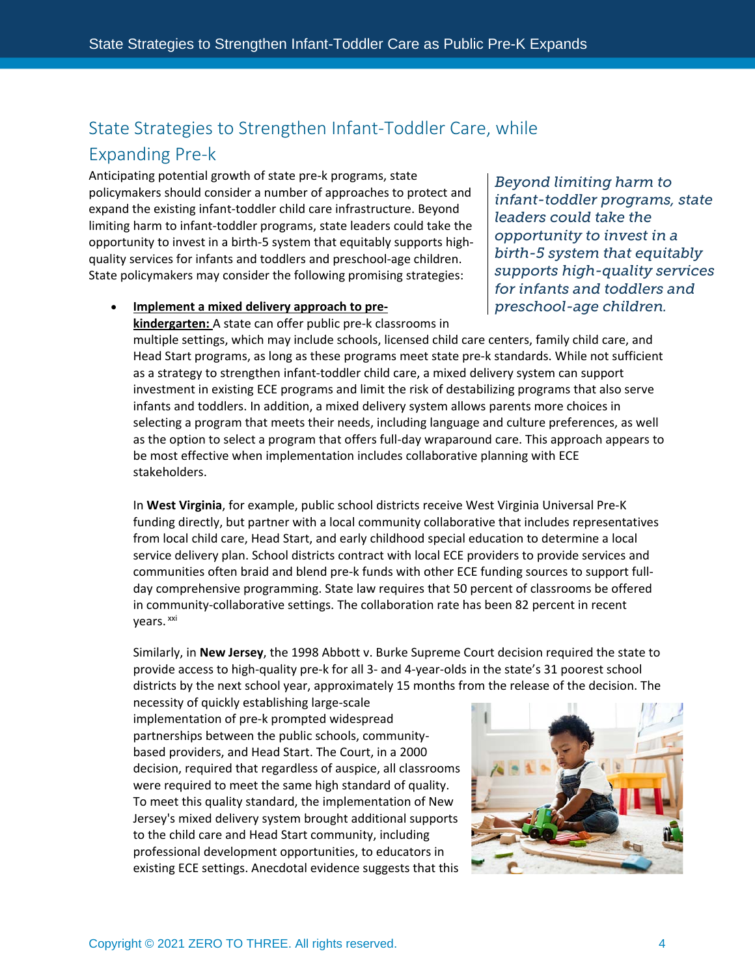## State Strategies to Strengthen Infant-Toddler Care, while Expanding Pre-k

Anticipating potential growth of state pre-k programs, state policymakers should consider a number of approaches to protect and expand the existing infant-toddler child care infrastructure. Beyond limiting harm to infant-toddler programs, state leaders could take the opportunity to invest in a birth-5 system that equitably supports highquality services for infants and toddlers and preschool-age children. State policymakers may consider the following promising strategies:

*Beyond limiting harm to infant-toddler programs, state leaders could take the opportunity to invest in a birth-5 system that equitably supports high-quality services for infants and toddlers and preschool-age children.* 

### • **Implement a mixed delivery approach to pre-**

**kindergarten:** A state can offer public pre-k classrooms in multiple settings, which may include schools, licensed child care centers, family child care, and Head Start programs, as long as these programs meet state pre-k standards. While not sufficient as a strategy to strengthen infant-toddler child care, a mixed delivery system can support investment in existing ECE programs and limit the risk of destabilizing programs that also serve infants and toddlers. In addition, a mixed delivery system allows parents more choices in selecting a program that meets their needs, including language and culture preferences, as well as the option to select a program that offers full-day wraparound care. This approach appears to be most effective when implementation includes collaborative planning with ECE stakeholders.

In **West Virginia**, for example, public school districts receive West Virginia Universal Pre-K funding directly, but partner with a local community collaborative that includes representatives from local child care, Head Start, and early childhood special education to determine a local service delivery plan. School districts contract with local ECE providers to provide services and communities often braid and blend pre-k funds with other ECE funding sources to support fullday comprehensive programming. State law requires that 50 percent of classrooms be offered in community-collaborative settings. The collaboration rate has been 82 percent in recent vears.<sup>[xxi](#page-9-16)</sup>

Similarly, in **New Jersey**, the 1998 Abbott v. Burke Supreme Court decision required the state to provide access to high-quality pre-k for all 3- and 4-year-olds in the state's 31 poorest school districts by the next school year, approximately 15 months from the release of the decision. The

necessity of quickly establishing large-scale implementation of pre-k prompted widespread partnerships between the public schools, communitybased providers, and Head Start. The Court, in a 2000 decision, required that regardless of auspice, all classrooms were required to meet the same high standard of quality. To meet this quality standard, the implementation of New Jersey's mixed delivery system brought additional supports to the child care and Head Start community, including professional development opportunities, to educators in existing ECE settings. Anecdotal evidence suggests that this

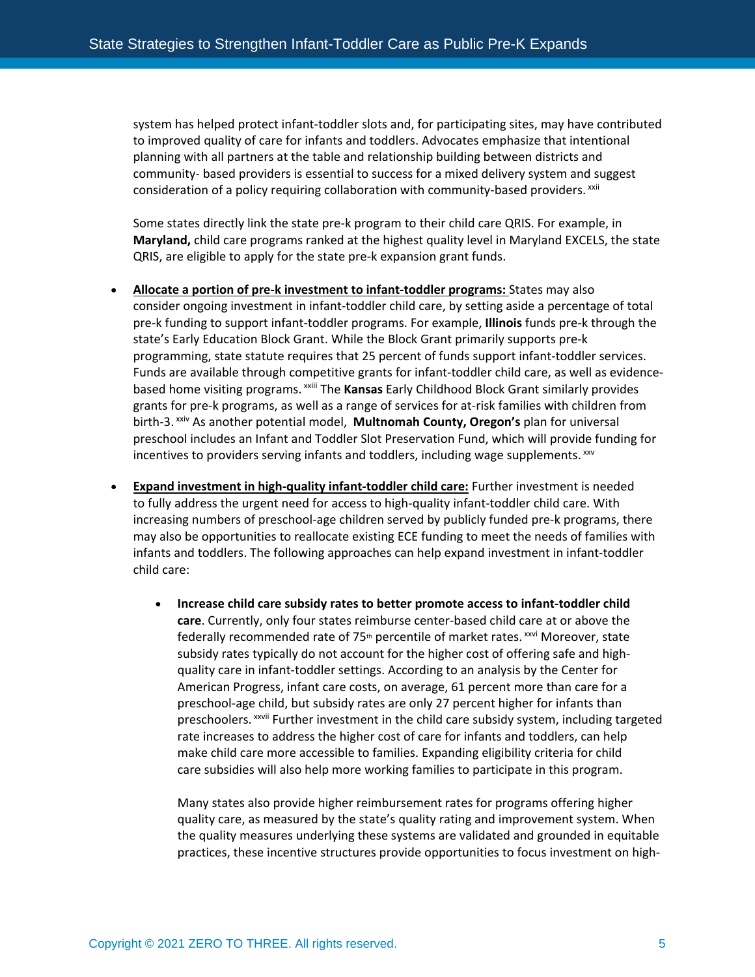system has helped protect infant-toddler slots and, for participating sites, may have contributed to improved quality of care for infants and toddlers. Advocates emphasize that intentional planning with all partners at the table and relationship building between districts and community- based providers is essential to success for a mixed delivery system and suggest consideration of a policy requiring collaboration with community-based providers. XXII

Some states directly link the state pre-k program to their child care QRIS. For example, in **Maryland,** child care programs ranked at the highest quality level in Maryland EXCELS, the state QRIS, are eligible to apply for the state pre-k expansion grant funds.

- **Allocate a portion of pre-k investment to infant-toddler programs:** States may also consider ongoing investment in infant-toddler child care, by setting aside a percentage of total pre-k funding to support infant-toddler programs. For example, **Illinois** funds pre-k through the state's Early Education Block Grant. While the Block Grant primarily supports pre-k programming, state statute requires that 25 percent of funds support infant-toddler services. Funds are available through competitive grants for infant-toddler child care, as well as evidencebased home visiting programs. xxii[i](#page-9-18) The **Kansas** Early Childhood Block Grant similarly provides grants for pre-k programs, as well as a range of services for at-risk families with children from birth-3. [xxiv](#page-9-19) As another potential model, **Multnomah County, Oregon's** plan for universal preschool includes an Infant and Toddler Slot Preservation Fund, which will provide funding for incentives to providers serving infants and toddlers, including wage supplements. XXV
- **Expand investment in high-quality infant-toddler child care:** Further investment is needed to fully address the urgent need for access to high-quality infant-toddler child care. With increasing numbers of preschool-age children served by publicly funded pre-k programs, there may also be opportunities to reallocate existing ECE funding to meet the needs of families with infants and toddlers. The following approaches can help expand investment in infant-toddler child care:
	- **Increase child care subsidy rates to better promote access to infant-toddler child care**. Currently, only four states reimburse center-based child care at or above the federally recommended rate of 75<sup>th</sup> percentile of market rates.<sup>[xxvi](#page-10-1)</sup> Moreover, state preschoolers.<sup>xxv[i](#page-10-2)i</sup> Further investment in the child care subsidy system, including targeted subsidy rates typically do not account for the higher cost of offering safe and highquality care in infant-toddler settings. According to an analysis by the Center for American Progress, infant care costs, on average, 61 percent more than care for a preschool-age child, but subsidy rates are only 27 percent higher for infants than rate increases to address the higher cost of care for infants and toddlers, can help make child care more accessible to families. Expanding eligibility criteria for child care subsidies will also help more working families to participate in this program.

Many states also provide higher reimbursement rates for programs offering higher quality care, as measured by the state's quality rating and improvement system. When the quality measures underlying these systems are validated and grounded in equitable practices, these incentive structures provide opportunities to focus investment on high-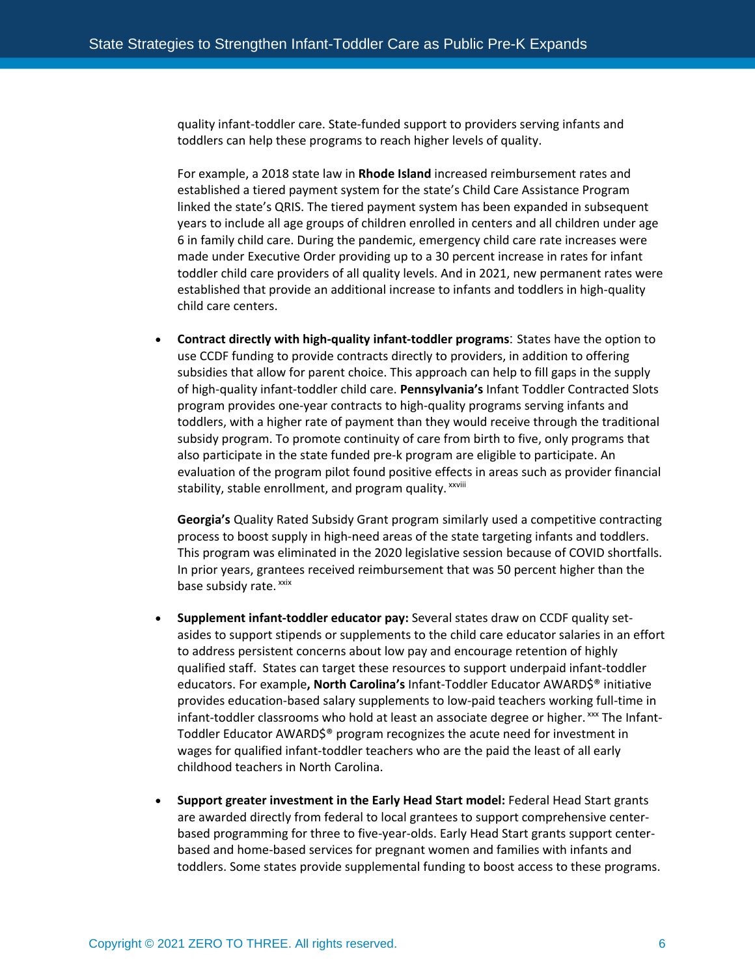quality infant-toddler care. State-funded support to providers serving infants and toddlers can help these programs to reach higher levels of quality.

For example, a 2018 state law in **Rhode Island** increased reimbursement rates and established a tiered payment system for the state's Child Care Assistance Program linked the state's QRIS. The tiered payment system has been expanded in subsequent years to include all age groups of children enrolled in centers and all children under age 6 in family child care. During the pandemic, emergency child care rate increases were made under Executive Order providing up to a 30 percent increase in rates for infant toddler child care providers of all quality levels. And in 2021, new permanent rates were established that provide an additional increase to infants and toddlers in high-quality child care centers.

• **Contract directly with high-quality infant-toddler programs**: States have the option to use CCDF funding to provide contracts directly to providers, in addition to offering subsidies that allow for parent choice. This approach can help to fill gaps in the supply of high-quality infant-toddler child care. **Pennsylvania's** Infant Toddler Contracted Slots program provides one-year contracts to high-quality programs serving infants and toddlers, with a higher rate of payment than they would receive through the traditional subsidy program. To promote continuity of care from birth to five, only programs that also participate in the state funded pre-k program are eligible to participate. An evaluation of the program pilot found positive effec[ts](#page-10-3) in areas such as provider financial stability, stable enrollment, and program quality. xxviii

**Georgia's** Quality Rated Subsidy Grant program similarly used a competitive contracting process to boost supply in high-need areas of the state targeting infants and toddlers. This program was eliminated in the 2020 legislative session because of COVID shortfalls. In prior years, grantees received reimbursement that was 50 percent higher than the base subsidy rate. [xxix](#page-10-4)

- **Supplement infant-toddler educator pay:** Several states draw on CCDF quality setasides to support stipends or supplements to the child care educator salaries in an effort to address persistent concerns about low pay and encourage retention of highly qualified staff.  States can target these resources to support underpaid infant-toddler educators. For example**, North Carolina's** Infant-Toddler Educator AWARD\$® initiative provides education-based salary supplements to low-paid teachers working full-time in infant-toddler classrooms who hold at least an associate degree or higher. [xxx](#page-10-5) The Infant-Toddler Educator AWARD\$® program recognizes the acute need for investment in wages for qualified infant-toddler teachers who are the paid the least of all early childhood teachers in North Carolina.
- **Support greater investment in the Early Head Start model:** Federal Head Start grants are awarded directly from federal to local grantees to support comprehensive centerbased programming for three to five-year-olds. Early Head Start grants support centerbased and home-based services for pregnant women and families with infants and toddlers. Some states provide supplemental funding to boost access to these programs.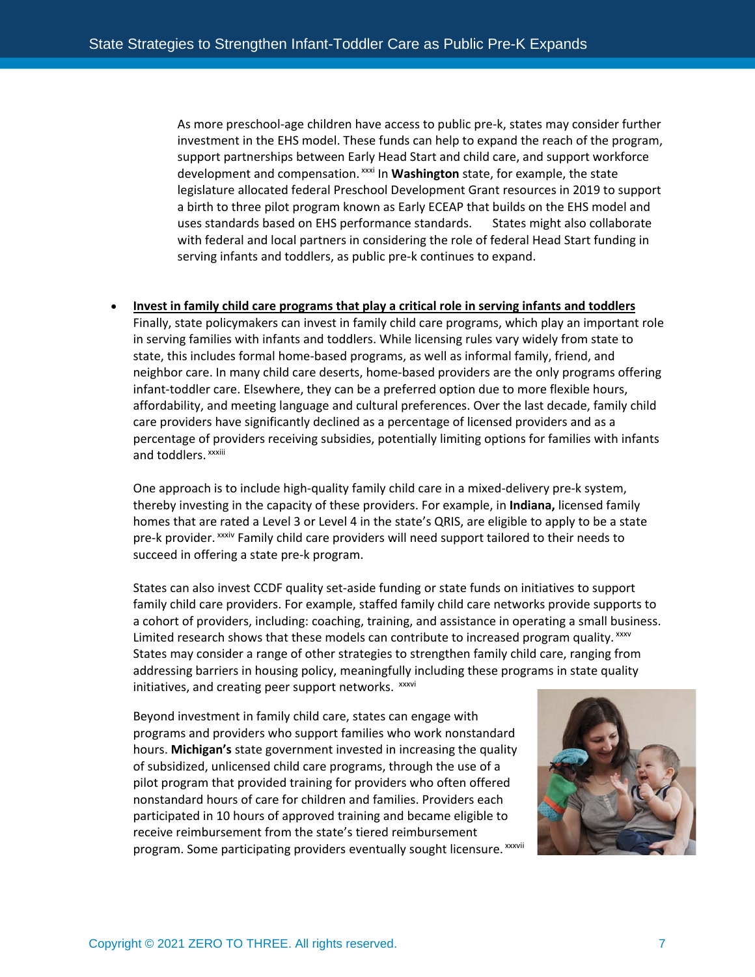As more preschool-age children have access to public pre-k, states may consider further investment in the EHS model. These funds can help to expand the reach of the program, support partnerships between Early Head Start and child care, and support workforce development and compensation. <sup>[xxxi](#page-10-6)</sup> In **Washington** state, for example, the state uses standards based on EH[S](#page-10-7) performance standards. States might also collaborate legislature allocated federal Preschool Development Grant resources in 2019 to support a birth to three pilot program known as Early ECEAP that builds on the EHS model and with federal and local partners in considering the role of federal Head Start funding in serving infants and toddlers, as public pre-k continues to expand.

#### • **Invest in family child care programs that play a critical role in serving infants and toddlers**

Finally, state policymakers can invest in family child care programs, which play an important role in serving families with infants and toddlers. While licensing rules vary widely from state to state, this includes formal home-based programs, as well as informal family, friend, and neighbor care. In many child care deserts, home-based providers are the only programs offering infant-toddler care. Elsewhere, they can be a preferred option due to more flexible hours, affordability, and meeting language and cultural preferences. Over the last decade, family child care providers have significantly declined as a percentage of licensed providers and as a percentage of providers receiving subsidies, potentially limiting options for families with infants and toddlers. xxxiii

pre-k provider. <sup>xxxiv</sup> [F](#page-10-8)amily child care providers will need support tailored to their needs to One approach is to include high-quality family child care in a mixed-delivery pre-k system, thereby investing in the capacity of these providers. For example, in **Indiana,** licensed family homes that are rated a Level 3 or Level 4 in the state's QRIS, are eligible to apply to be a state succeed in offering a state pre-k program.

States can also invest CCDF quality set-aside funding or state funds on initiatives to support family child care providers. For example, staffed family child care networks provide supports to a cohort of providers, including: coaching, training, and assistance in operating a small business. Limited research shows that these models can contribute to increased program quality. [xxxv](#page-10-9) States may consider a range of other strategies to strengthen family child care, ranging from addressing barriers in housing policy, meaningfully including these programs in state quality initiatives, and creating peer support networks. xxxvi

program. Some part[i](#page-10-10)cipating providers eventually sought licensure. XXXVII Beyond investment in family child care, states can engage with programs and providers who support families who work nonstandard hours. **Michigan's** state government invested in increasing the quality of subsidized, unlicensed child care programs, through the use of a pilot program that provided training for providers who often offered nonstandard hours of care for children and families. Providers each participated in 10 hours of approved training and became eligible to receive reimbursement from the state's tiered reimbursement

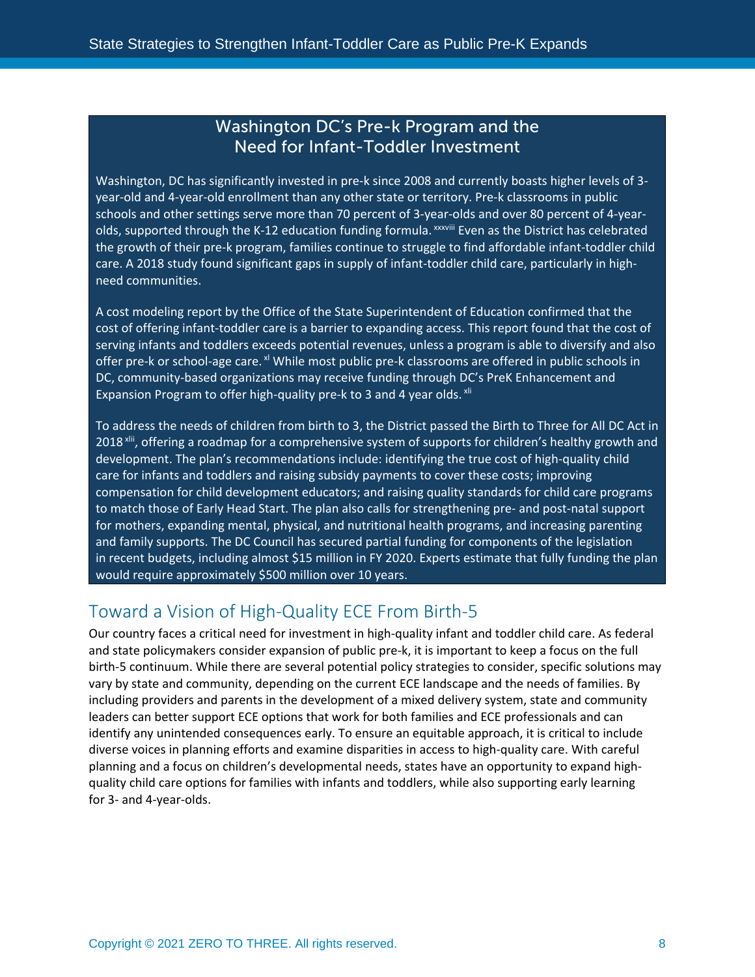### Washington DC's Pre-k Program and the Need for Infant-Toddler Investment

Washington, DC has significantly invested in pre-k since 2008 and currently boasts higher levels of 3 year-old and 4-year-old enrollment than any other state or territory. Pre-k classrooms in public schools and other settings serve more than 70 percent of 3-year-olds and over 80 percent of 4-year-olds, supported through the K-12 education funding formula. <sup>xxxviii</sup> [E](#page-10-11)ven as the District has celebrated the growth of their pre-k program, families continue to struggle to find affordable infant-toddler child care. A 2018 study found significant gaps in supply of infant-toddler child care, particularly in highneed communities.

A cost modeling report by the Office of the State Superintendent of Education confirmed that the cost of offering infant-toddler care is a barrier to expanding access. This report found that the cost of serving infants and toddlers exceeds potential revenues, unless a program is able to diversify and also offer pre-k or school-age care. <sup>xl</sup> While most public pre-k classrooms are offered in public schools in DC, community-based organizations may receive funding through DC's PreK Enhancement and Expansion Program to offer high-quality pre-k to 3 and 4 year olds. <sup>xli</sup>

To address the needs of children from birth to 3, the District passed the Birth to Three for All DC Act in 2018<sup>[xlii](#page-10-14)</sup>, offering a roadmap for a comprehensive system of supports for children's healthy growth and development. The plan's recommendations include: identifying the true cost of high-quality child care for infants and toddlers and raising subsidy payments to cover these costs; improving compensation for child development educators; and raising quality standards for child care programs to match those of Early Head Start. The plan also calls for strengthening pre- and post-natal support for mothers, expanding mental, physical, and nutritional health programs, and increasing parenting and family supports. The DC Council has secured partial funding for components of the legislation in recent budgets, including almost \$15 million in FY 2020. Experts estimate that fully funding the plan would require approximately \$500 million over 10 years.

## Towarda Vision of High-Quality ECE From Birth-5

Our country faces a critical need for investment in high-quality infant and toddler child care. As federal and state policymakers consider expansion of public pre-k, it is important to keep a focus on the full birth-5 continuum. While there are several potential policy strategies to consider, specific solutions may vary by state and community, depending on the current ECE landscape and the needs of families. By including providers and parents in the development of a mixed delivery system, state and community leaders can better support ECE options that work for both families and ECE professionals and can identify any unintended consequences early. To ensure an equitable approach, it is critical to include diverse voices in planning efforts and examine disparities in access to high-quality care. With careful planning and a focus on children's developmental needs, states have an opportunity to expand highquality child care options for families with infants and toddlers, while also supporting early learning for 3- and 4-year-olds.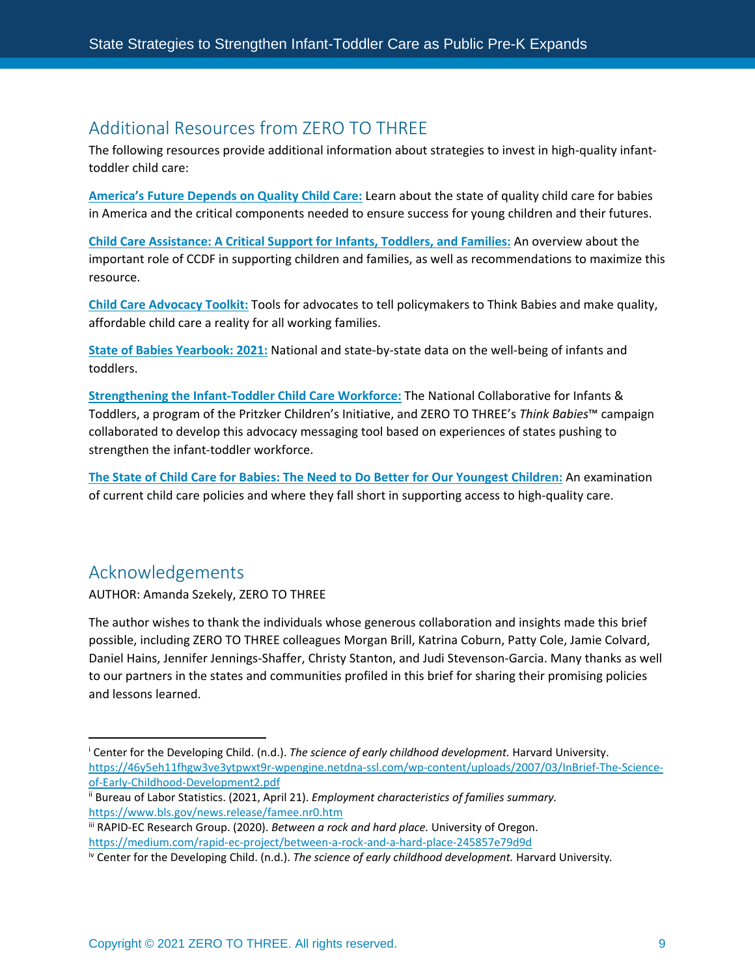## Additional Resources from ZERO TO THREE

The following resources provide additional information about strategies to invest in high-quality infanttoddler child care:

**[America's Future Depends on Quality Child Care:](https://www.zerotothree.org/resources/1220-america-s-future-depends-on-quality-child-care)** Learn about the state of quality child care for babies in America and the critical components needed to ensure success for young children and their futures. 

**[Child Care Assistance: A Critical Support for Infants, Toddlers, and Families:](https://www.zerotothree.org/resources/2066-child-care-assistance-a-critical-support-for-infants-toddlers-and-families#downloads)** An overview about the important role of CCDF in supporting children and families, as well as recommendations to maximize this resource.

**[Child Care Advocacy Toolkit:](https://www.zerotothree.org/resources/series/child-care-advocacy-toolkit)** Tools for advocates to tell policymakers to Think Babies and make quality, affordable child care a reality for all working families. 

**[State of Babies Yearbook: 2021:](https://stateofbabies.org/compare-indicators-across-states/)** National and state-by-state data on the well-being of infants and toddlers. 

**[Strengthening the Infant-Toddler Child Care Workforce:](https://www.zerotothree.org/resources/2970-strengthening-the-infant-toddler-child-care-workforce#downloads)** The National Collaborative for Infants & Toddlers, a program of the Pritzker Children's Initiative, and ZERO TO THREE's *Think Babies*™ campaign collaborated to develop this advocacy messaging tool based on experiences of states pushing to strengthen the infant-toddler workforce.

**[The State of Child Care for Babies: The Need to Do Better for Our Youngest](https://www.zerotothree.org/resources/3924-the-state-of-child-care-for-babies-the-need-to-do-better-for-our-youngest-children#downloads) Children:** An examination of current child care policies and where they fall short in supporting access to high-quality care.

### Acknowledgements

AUTHOR: Amanda Szekely, ZERO TO THREE

The author wishes to thank the individuals whose generous collaboration and insights made this brief possible, including ZERO TO THREE colleagues Morgan Brill, Katrina Coburn, Patty Cole, Jamie Colvard, Daniel Hains, Jennifer Jennings-Shaffer, Christy Stanton, and Judi Stevenson-Garcia. Many thanks as well to our partners in the states and communities profiled in this brief for sharing their promising policies and lessons learned.

<span id="page-8-0"></span><sup>i</sup> Center for the Developing Child. (n.d.). *The science of early childhood development.* Harvard University. [https://46y5eh11fhgw3ve3ytpwxt9r-wpengine.netdna-ssl.com/wp-content/uploads/2007/03/InBrief-The-Science](https://46y5eh11fhgw3ve3ytpwxt9r-wpengine.netdna-ssl.com/wp-content/uploads/2007/03/InBrief-The-Science-of-Early-Childhood-Development2.pdf)[of-Early-Childhood-Development2.pdf](https://46y5eh11fhgw3ve3ytpwxt9r-wpengine.netdna-ssl.com/wp-content/uploads/2007/03/InBrief-The-Science-of-Early-Childhood-Development2.pdf)

<span id="page-8-1"></span>ii Bureau of Labor Statistics. (2021, April 21). *Employment characteristics of families summary.* https://www.bls.gov/news.release/famee.nr0.htm<br>iii RAPID-EC Research Group. (2020). *Between a rock and hard place.* University of Oregon.

<span id="page-8-2"></span>https://medium.com/rapid-ec-project/between-a-rock-and-a-hard-place-245857e79d9d<br>iv Center for the Developing Child. (n.d.). The science of early childhood development. Harvard University.

<span id="page-8-3"></span>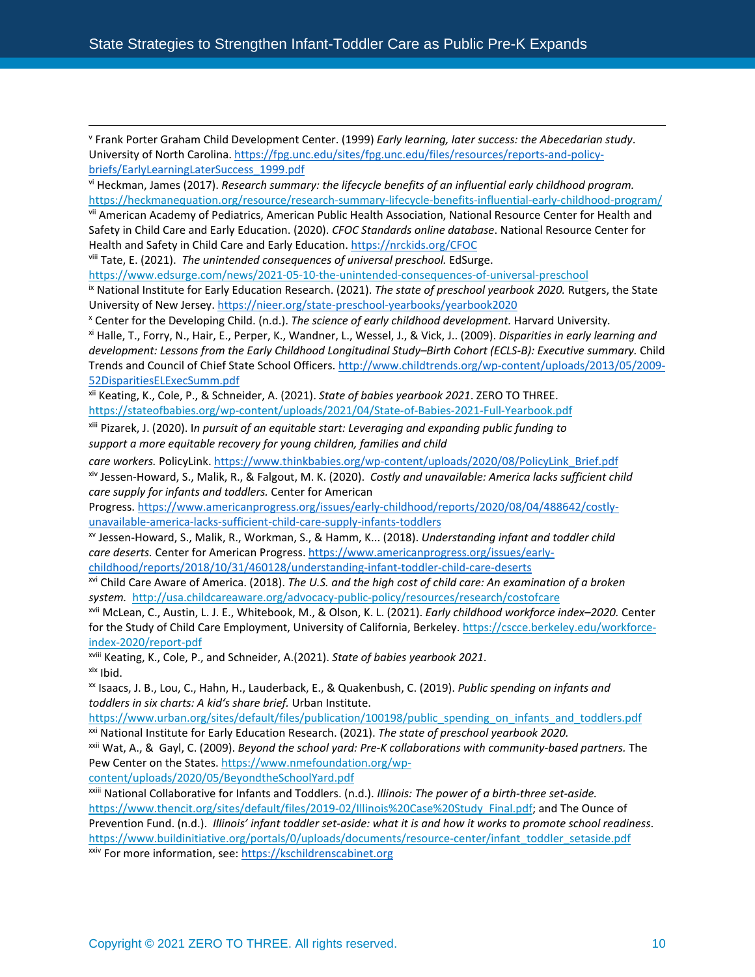<span id="page-9-0"></span><sup>v</sup> Frank Porter Graham Child Development Center. (1999) *Early learning, later success: the Abecedarian study*. University of North Carolina. [https://fpg.unc.edu/sites/fpg.unc.edu/files/resources/reports-and-policy](https://fpg.unc.edu/sites/fpg.unc.edu/files/resources/reports-and-policy-briefs/EarlyLearningLaterSuccess_1999.pdf)briefs/EarlyLearningLaterSuccess 1999.pdf<br>vi Heckman, James (2017). *Research summary: the lifecycle benefits of an influential early childhood program.* 

<span id="page-9-1"></span><https://heckmanequation.org/resource/research-summary-lifecycle-benefits-influential-early-childhood-program/>

<span id="page-9-2"></span>vii American Academy of Pediatrics, American Public Health Association, National Resource Center for Health and Safety in Child Care and Early Education. (2020). *CFOC Standards online database*. National Resource Center for Health and Safety in Child Care and Early Education. <https://nrckids.org/CFOC>

<span id="page-9-3"></span>viii Tate, E. (2021). *The unintended consequences of universal preschool.* EdSurge.

<span id="page-9-4"></span>https://www.edsurge.com/news/2021-05-10-the-unintended-consequences-of-universal-preschool<br>ix National Institute for Early Education Research. (2021). The state of preschool yearbook 2020. Rutgers, the State University of New Jersey. <https://nieer.org/state-preschool-yearbooks/yearbook2020>

<span id="page-9-6"></span><span id="page-9-5"></span><sup>x</sup> Center for the Developing Child. (n.d.). The science of early childhood development. Harvard University.<br><sup>xi</sup> Halle, T., Forry, N., Hair, E., Perper, K., Wandner, L., Wessel, J., & Vick, J.. (2009). Disparities in earl *development: Lessons from the Early Childhood Longitudinal Study–Birth Cohort (ECLS-B): Executive summary.* Child Trends and Council of Chief State School Officers. [http://www.childtrends.org/wp-content/uploads/2013/05/2009-](http://www.childtrends.org/wp-content/uploads/2013/05/2009-52DisparitiesELExecSumm.pdf) [52DisparitiesELExecSumm.pdf](http://www.childtrends.org/wp-content/uploads/2013/05/2009-52DisparitiesELExecSumm.pdf)

<span id="page-9-7"></span>xii Keating, K., Cole, P., & Schneider, A. (2021). *State of babies yearbook 2021*. ZERO TO THREE. <https://stateofbabies.org/wp-content/uploads/2021/04/State-of-Babies-2021-Full-Yearbook.pdf>

<span id="page-9-8"></span>xiii Pizarek, J. (2020). I*n pursuit of an equitable start: Leveraging and expanding public funding to support a more equitable recovery for young children, families and child* 

*care workers.* PolicyLink. [https://www.thinkbabies.org/wp-content/uploads/2020/08/PolicyLink\\_Brief.pdf](https://www.thinkbabies.org/wp-content/uploads/2020/08/PolicyLink_Brief.pdf)

<span id="page-9-9"></span>xiv Jessen-Howard, S., Malik, R., & Falgout, M. K. (2020). *Costly and unavailable: America lacks sufficient child care supply for infants and toddlers.* Center for American

Progress. [https://www.americanprogress.org/issues/early-childhood/reports/2020/08/04/488642/costly](https://www.americanprogress.org/issues/early-childhood/reports/2020/08/04/488642/costly-unavailable-america-lacks-sufficient-child-care-supply-infants-toddlers)[unavailable-america-lacks-sufficient-child-care-supply-infants-toddlers](https://www.americanprogress.org/issues/early-childhood/reports/2020/08/04/488642/costly-unavailable-america-lacks-sufficient-child-care-supply-infants-toddlers)

<span id="page-9-10"></span>xv Jessen-Howard, S., Malik, R., Workman, S., & Hamm, K... (2018). *Understanding infant and toddler child care deserts.* Center for American Progress. [https://www.americanprogress.org/issues/early-](https://www.americanprogress.org/issues/early-childhood/reports/2018/10/31/460128/understanding-infant-toddler-child-care-deserts)

<span id="page-9-11"></span>[childhood/reports/2018/10/31/460128/understanding-infant-toddler-child-care-deserts](https://www.americanprogress.org/issues/early-childhood/reports/2018/10/31/460128/understanding-infant-toddler-child-care-deserts) xvi Child Care Aware of America. (2018). *The U.S. and the high cost of child care: An examination of a broken system.*<http://usa.childcareaware.org/advocacy-public-policy/resources/research/costofcare>

<span id="page-9-12"></span>xvii McLean, C., Austin, L. J. E., Whitebook, M., & Olson, K. L. (2021). *Early childhood workforce index–2020.* Center for the Study of Child Care Employment, University of California, Berkeley[. https://cscce.berkeley.edu/workforce-](https://cscce.berkeley.edu/workforce-index-2020/report-pdf)

<span id="page-9-13"></span>index-2020/report-pdf<br>
<sup>xviii</sup> Keating, K., Cole, P., and Schneider, A.(2021). State of babies yearbook 2021.<br>
<sup>xix</sup> Ibid.<br>
<sup>xx</sup> Isaacs, J. B., Lou, C., Hahn, H., Lauderback, E., & Quakenbush, C. (2019). *Public spending o* 

<span id="page-9-15"></span><span id="page-9-14"></span>*toddlers in six charts: A kid's share brief.* Urban Institute.

<span id="page-9-16"></span>https://www.urban.org/sites/default/files/publication/100198/public spending on infants and toddlers.pdf xxi National Institute for Early Education Research. (2021). The state of preschool yearbook 2020.

<span id="page-9-17"></span>xxii Wat, A., & Gayl, C. (2009). *Beyond the school yard: Pre-K collaborations with community-based partners.* The Pew Center on the States[. https://www.nmefoundation.org/wp-](https://www.nmefoundation.org/wp-content/uploads/2020/05/BeyondtheSchoolYard.pdf)

[content/uploads/2020/05/BeyondtheSchoolYard.pdf](https://www.nmefoundation.org/wp-content/uploads/2020/05/BeyondtheSchoolYard.pdf)

<span id="page-9-19"></span><span id="page-9-18"></span>xxiii National Collaborative for Infants and Toddlers. (n.d.). *Illinois: The power of a birth-three set-aside.* [https://www.thencit.org/sites/default/files/2019-02/Illinois%20Case%20Study\\_Final.pdf;](https://www.thencit.org/sites/default/files/2019-02/Illinois%20Case%20Study_Final.pdf) and The Ounce of Prevention Fund. (n.d.). *Illinois' infant toddler set-aside: what it is and how it works to promote school readiness*. [https://www.buildinitiative.org/portals/0/uploads/documents/resource-center/infant\\_toddler\\_setaside.pdf](https://www.buildinitiative.org/portals/0/uploads/documents/resource-center/infant_toddler_setaside.pdf) xxiv For more information, see: https://kschildrenscabinet.org